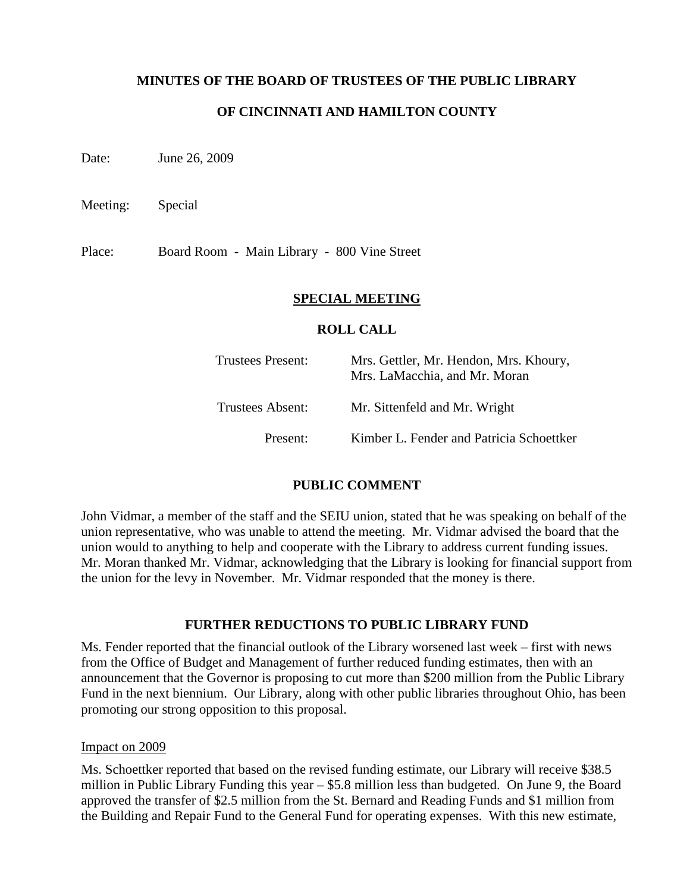## **MINUTES OF THE BOARD OF TRUSTEES OF THE PUBLIC LIBRARY**

## **OF CINCINNATI AND HAMILTON COUNTY**

Date: June 26, 2009

Meeting: Special

Place: Board Room - Main Library - 800 Vine Street

#### **SPECIAL MEETING**

#### **ROLL CALL**

| <b>Trustees Present:</b> | Mrs. Gettler, Mr. Hendon, Mrs. Khoury,<br>Mrs. LaMacchia, and Mr. Moran |
|--------------------------|-------------------------------------------------------------------------|
| Trustees Absent:         | Mr. Sittenfeld and Mr. Wright                                           |
| Present:                 | Kimber L. Fender and Patricia Schoettker                                |

## **PUBLIC COMMENT**

John Vidmar, a member of the staff and the SEIU union, stated that he was speaking on behalf of the union representative, who was unable to attend the meeting. Mr. Vidmar advised the board that the union would to anything to help and cooperate with the Library to address current funding issues. Mr. Moran thanked Mr. Vidmar, acknowledging that the Library is looking for financial support from the union for the levy in November. Mr. Vidmar responded that the money is there.

## **FURTHER REDUCTIONS TO PUBLIC LIBRARY FUND**

Ms. Fender reported that the financial outlook of the Library worsened last week – first with news from the Office of Budget and Management of further reduced funding estimates, then with an announcement that the Governor is proposing to cut more than \$200 million from the Public Library Fund in the next biennium. Our Library, along with other public libraries throughout Ohio, has been promoting our strong opposition to this proposal.

#### Impact on 2009

Ms. Schoettker reported that based on the revised funding estimate, our Library will receive \$38.5 million in Public Library Funding this year – \$5.8 million less than budgeted. On June 9, the Board approved the transfer of \$2.5 million from the St. Bernard and Reading Funds and \$1 million from the Building and Repair Fund to the General Fund for operating expenses. With this new estimate,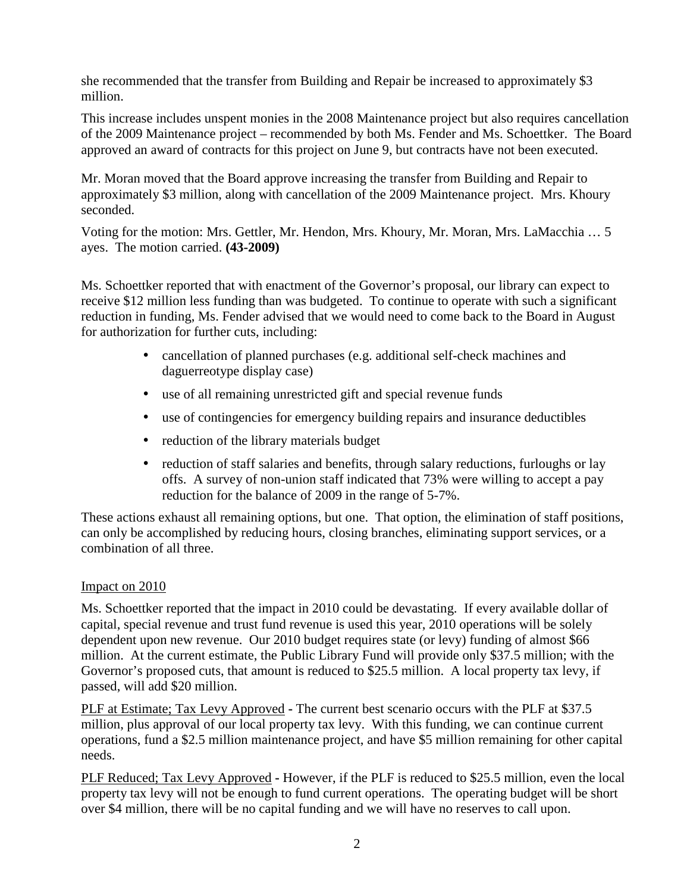she recommended that the transfer from Building and Repair be increased to approximately \$3 million.

This increase includes unspent monies in the 2008 Maintenance project but also requires cancellation of the 2009 Maintenance project – recommended by both Ms. Fender and Ms. Schoettker. The Board approved an award of contracts for this project on June 9, but contracts have not been executed.

Mr. Moran moved that the Board approve increasing the transfer from Building and Repair to approximately \$3 million, along with cancellation of the 2009 Maintenance project. Mrs. Khoury seconded.

Voting for the motion: Mrs. Gettler, Mr. Hendon, Mrs. Khoury, Mr. Moran, Mrs. LaMacchia … 5 ayes. The motion carried. **(43-2009)**

Ms. Schoettker reported that with enactment of the Governor's proposal, our library can expect to receive \$12 million less funding than was budgeted. To continue to operate with such a significant reduction in funding, Ms. Fender advised that we would need to come back to the Board in August for authorization for further cuts, including:

- cancellation of planned purchases (e.g. additional self-check machines and daguerreotype display case)
- use of all remaining unrestricted gift and special revenue funds
- use of contingencies for emergency building repairs and insurance deductibles
- reduction of the library materials budget
- reduction of staff salaries and benefits, through salary reductions, furloughs or lay offs. A survey of non-union staff indicated that 73% were willing to accept a pay reduction for the balance of 2009 in the range of 5-7%.

These actions exhaust all remaining options, but one. That option, the elimination of staff positions, can only be accomplished by reducing hours, closing branches, eliminating support services, or a combination of all three.

# Impact on 2010

Ms. Schoettker reported that the impact in 2010 could be devastating. If every available dollar of capital, special revenue and trust fund revenue is used this year, 2010 operations will be solely dependent upon new revenue. Our 2010 budget requires state (or levy) funding of almost \$66 million. At the current estimate, the Public Library Fund will provide only \$37.5 million; with the Governor's proposed cuts, that amount is reduced to \$25.5 million. A local property tax levy, if passed, will add \$20 million.

PLF at Estimate; Tax Levy Approved **-** The current best scenario occurs with the PLF at \$37.5 million, plus approval of our local property tax levy. With this funding, we can continue current operations, fund a \$2.5 million maintenance project, and have \$5 million remaining for other capital needs.

PLF Reduced; Tax Levy Approved **-** However, if the PLF is reduced to \$25.5 million, even the local property tax levy will not be enough to fund current operations. The operating budget will be short over \$4 million, there will be no capital funding and we will have no reserves to call upon.